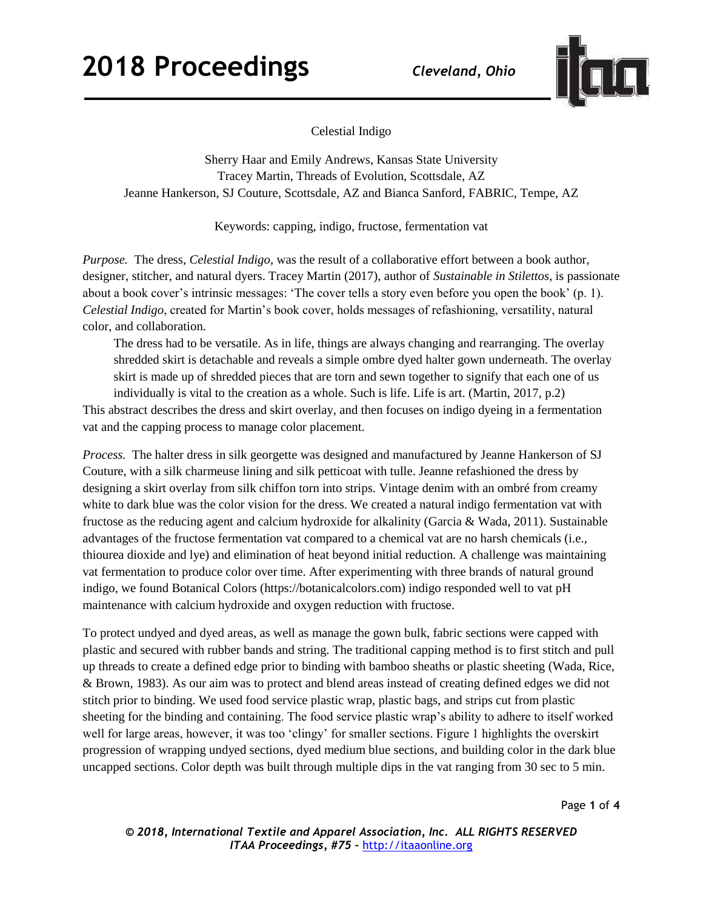

Celestial Indigo

Sherry Haar and Emily Andrews, Kansas State University Tracey Martin, Threads of Evolution, Scottsdale, AZ Jeanne Hankerson, SJ Couture, Scottsdale, AZ and Bianca Sanford, FABRIC, Tempe, AZ

Keywords: capping, indigo, fructose, fermentation vat

*Purpose.* The dress, *Celestial Indigo*, was the result of a collaborative effort between a book author, designer, stitcher, and natural dyers. Tracey Martin (2017), author of *Sustainable in Stilettos*, is passionate about a book cover's intrinsic messages: 'The cover tells a story even before you open the book' (p. 1). *Celestial Indigo*, created for Martin's book cover, holds messages of refashioning, versatility, natural color, and collaboration.

The dress had to be versatile. As in life, things are always changing and rearranging. The overlay shredded skirt is detachable and reveals a simple ombre dyed halter gown underneath. The overlay skirt is made up of shredded pieces that are torn and sewn together to signify that each one of us individually is vital to the creation as a whole. Such is life. Life is art. (Martin, 2017, p.2)

This abstract describes the dress and skirt overlay, and then focuses on indigo dyeing in a fermentation vat and the capping process to manage color placement.

*Process.* The halter dress in silk georgette was designed and manufactured by Jeanne Hankerson of SJ Couture, with a silk charmeuse lining and silk petticoat with tulle. Jeanne refashioned the dress by designing a skirt overlay from silk chiffon torn into strips. Vintage denim with an ombré from creamy white to dark blue was the color vision for the dress. We created a natural indigo fermentation vat with fructose as the reducing agent and calcium hydroxide for alkalinity (Garcia & Wada, 2011). Sustainable advantages of the fructose fermentation vat compared to a chemical vat are no harsh chemicals (i.e., thiourea dioxide and lye) and elimination of heat beyond initial reduction. A challenge was maintaining vat fermentation to produce color over time. After experimenting with three brands of natural ground indigo, we found Botanical Colors (https://botanicalcolors.com) indigo responded well to vat pH maintenance with calcium hydroxide and oxygen reduction with fructose.

To protect undyed and dyed areas, as well as manage the gown bulk, fabric sections were capped with plastic and secured with rubber bands and string. The traditional capping method is to first stitch and pull up threads to create a defined edge prior to binding with bamboo sheaths or plastic sheeting (Wada, Rice, & Brown, 1983). As our aim was to protect and blend areas instead of creating defined edges we did not stitch prior to binding. We used food service plastic wrap, plastic bags, and strips cut from plastic sheeting for the binding and containing. The food service plastic wrap's ability to adhere to itself worked well for large areas, however, it was too 'clingy' for smaller sections. Figure 1 highlights the overskirt progression of wrapping undyed sections, dyed medium blue sections, and building color in the dark blue uncapped sections. Color depth was built through multiple dips in the vat ranging from 30 sec to 5 min.

Page **1** of **4**

*© 2018, International Textile and Apparel Association, Inc. ALL RIGHTS RESERVED ITAA Proceedings, #75 –* [http://itaaonline.org](http://itaaonline.org/)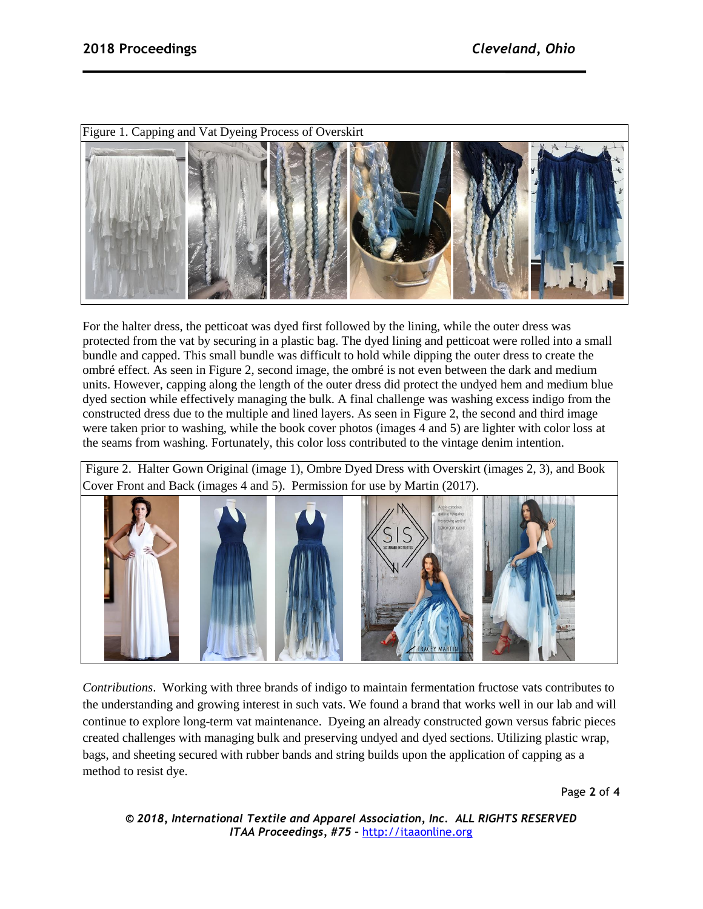

For the halter dress, the petticoat was dyed first followed by the lining, while the outer dress was protected from the vat by securing in a plastic bag. The dyed lining and petticoat were rolled into a small bundle and capped. This small bundle was difficult to hold while dipping the outer dress to create the ombré effect. As seen in Figure 2, second image, the ombré is not even between the dark and medium units. However, capping along the length of the outer dress did protect the undyed hem and medium blue dyed section while effectively managing the bulk. A final challenge was washing excess indigo from the constructed dress due to the multiple and lined layers. As seen in Figure 2, the second and third image were taken prior to washing, while the book cover photos (images 4 and 5) are lighter with color loss at the seams from washing. Fortunately, this color loss contributed to the vintage denim intention.

Figure 2. Halter Gown Original (image 1), Ombre Dyed Dress with Overskirt (images 2, 3), and Book Cover Front and Back (images 4 and 5). Permission for use by Martin (2017).



*Contributions*. Working with three brands of indigo to maintain fermentation fructose vats contributes to the understanding and growing interest in such vats. We found a brand that works well in our lab and will continue to explore long-term vat maintenance. Dyeing an already constructed gown versus fabric pieces created challenges with managing bulk and preserving undyed and dyed sections. Utilizing plastic wrap, bags, and sheeting secured with rubber bands and string builds upon the application of capping as a method to resist dye.

Page **2** of **4**

*© 2018, International Textile and Apparel Association, Inc. ALL RIGHTS RESERVED ITAA Proceedings, #75 –* [http://itaaonline.org](http://itaaonline.org/)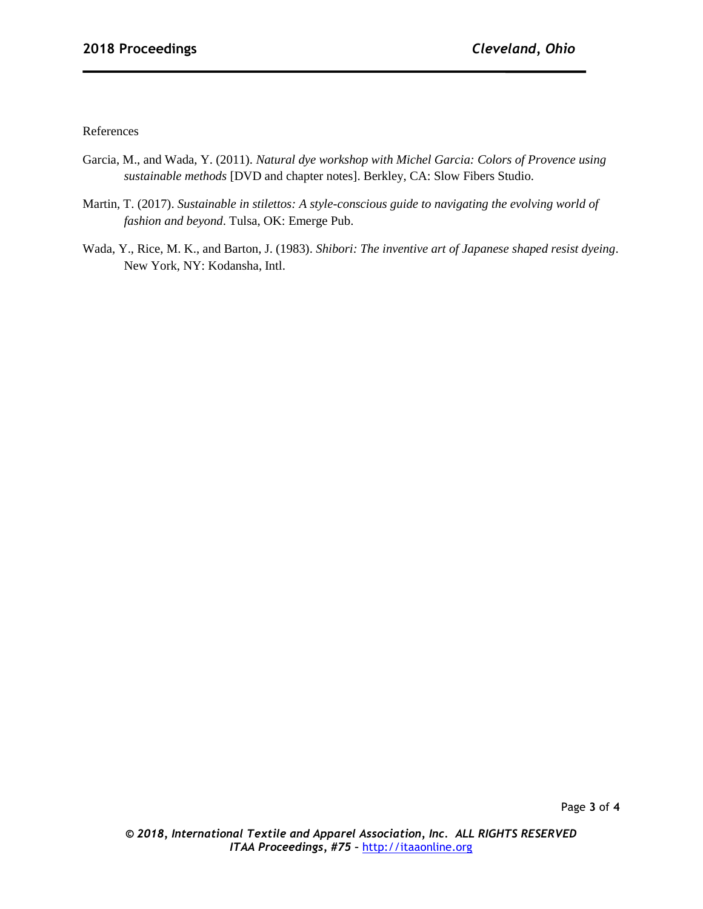References

- Garcia, M., and Wada, Y. (2011). *Natural dye workshop with Michel Garcia: Colors of Provence using sustainable methods* [DVD and chapter notes]. Berkley, CA: Slow Fibers Studio.
- Martin, T. (2017). *Sustainable in stilettos: A style-conscious guide to navigating the evolving world of fashion and beyond*. Tulsa, OK: Emerge Pub.
- Wada, Y., Rice, M. K., and Barton, J. (1983). *Shibori: The inventive art of Japanese shaped resist dyeing*. New York, NY: Kodansha, Intl.